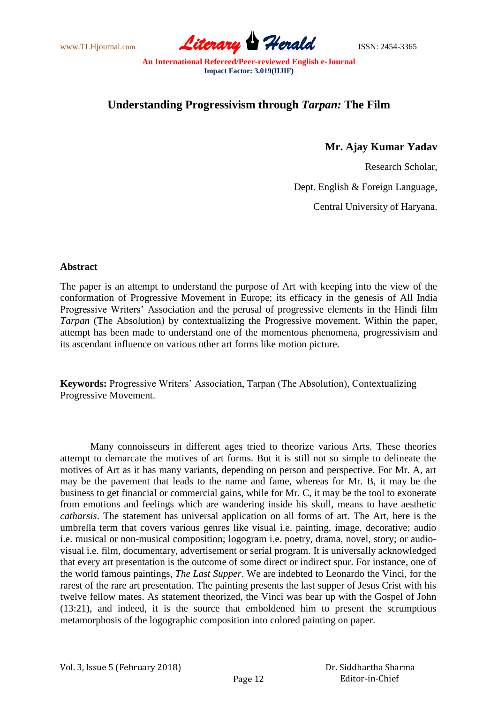www.TLHjournal.com **Literary Herald** ISSN: 2454-3365

## **Understanding Progressivism through** *Tarpan:* **The Film**

**Mr. Ajay Kumar Yadav**

Research Scholar,

Dept. English & Foreign Language,

Central University of Haryana.

## **Abstract**

The paper is an attempt to understand the purpose of Art with keeping into the view of the conformation of Progressive Movement in Europe; its efficacy in the genesis of All India Progressive Writers" Association and the perusal of progressive elements in the Hindi film *Tarpan* (The Absolution) by contextualizing the Progressive movement. Within the paper, attempt has been made to understand one of the momentous phenomena, progressivism and its ascendant influence on various other art forms like motion picture.

**Keywords:** Progressive Writers" Association, Tarpan (The Absolution), Contextualizing Progressive Movement.

Many connoisseurs in different ages tried to theorize various Arts. These theories attempt to demarcate the motives of art forms. But it is still not so simple to delineate the motives of Art as it has many variants, depending on person and perspective. For Mr. A, art may be the pavement that leads to the name and fame, whereas for Mr. B, it may be the business to get financial or commercial gains, while for Mr. C, it may be the tool to exonerate from emotions and feelings which are wandering inside his skull, means to have aesthetic *catharsis*. The statement has universal application on all forms of art. The Art, here is the umbrella term that covers various genres like visual i.e. painting, image, decorative; audio i.e. musical or non-musical composition; logogram i.e. poetry, drama, novel, story; or audiovisual i.e. film, documentary, advertisement or serial program. It is universally acknowledged that every art presentation is the outcome of some direct or indirect spur. For instance, one of the world famous paintings, *The Last Supper*. We are indebted to Leonardo the Vinci, for the rarest of the rare art presentation. The painting presents the last supper of Jesus Crist with his twelve fellow mates. As statement theorized, the Vinci was bear up with the Gospel of John (13:21), and indeed, it is the source that emboldened him to present the scrumptious metamorphosis of the logographic composition into colored painting on paper.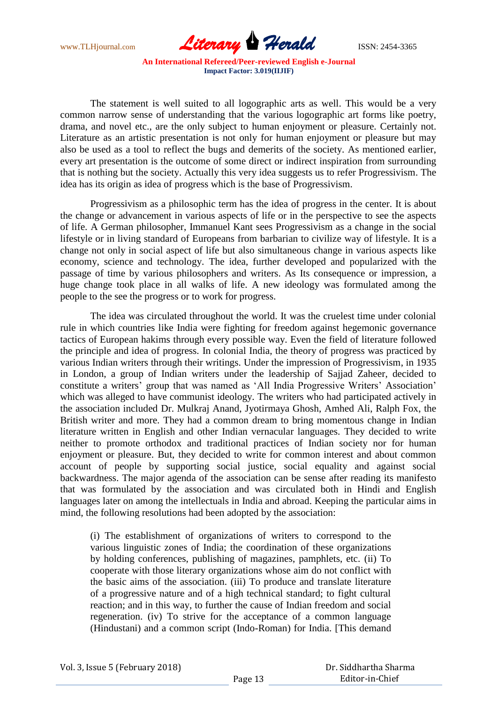

The statement is well suited to all logographic arts as well. This would be a very common narrow sense of understanding that the various logographic art forms like poetry, drama, and novel etc., are the only subject to human enjoyment or pleasure. Certainly not. Literature as an artistic presentation is not only for human enjoyment or pleasure but may also be used as a tool to reflect the bugs and demerits of the society. As mentioned earlier, every art presentation is the outcome of some direct or indirect inspiration from surrounding that is nothing but the society. Actually this very idea suggests us to refer Progressivism. The idea has its origin as idea of progress which is the base of Progressivism.

Progressivism as a philosophic term has the idea of progress in the center. It is about the change or advancement in various aspects of life or in the perspective to see the aspects of life. A German philosopher, Immanuel Kant sees Progressivism as a change in the social lifestyle or in living standard of Europeans from barbarian to civilize way of lifestyle. It is a change not only in social aspect of life but also simultaneous change in various aspects like economy, science and technology. The idea, further developed and popularized with the passage of time by various philosophers and writers. As Its consequence or impression, a huge change took place in all walks of life. A new ideology was formulated among the people to the see the progress or to work for progress.

The idea was circulated throughout the world. It was the cruelest time under colonial rule in which countries like India were fighting for freedom against hegemonic governance tactics of European hakims through every possible way. Even the field of literature followed the principle and idea of progress. In colonial India, the theory of progress was practiced by various Indian writers through their writings. Under the impression of Progressivism, in 1935 in London, a group of Indian writers under the leadership of Sajjad Zaheer, decided to constitute a writers' group that was named as 'All India Progressive Writers' Association' which was alleged to have communist ideology. The writers who had participated actively in the association included Dr. Mulkraj Anand, Jyotirmaya Ghosh, Amhed Ali, Ralph Fox, the British writer and more. They had a common dream to bring momentous change in Indian literature written in English and other Indian vernacular languages. They decided to write neither to promote orthodox and traditional practices of Indian society nor for human enjoyment or pleasure. But, they decided to write for common interest and about common account of people by supporting social justice, social equality and against social backwardness. The major agenda of the association can be sense after reading its manifesto that was formulated by the association and was circulated both in Hindi and English languages later on among the intellectuals in India and abroad. Keeping the particular aims in mind, the following resolutions had been adopted by the association:

(i) The establishment of organizations of writers to correspond to the various linguistic zones of India; the coordination of these organizations by holding conferences, publishing of magazines, pamphlets, etc. (ii) To cooperate with those literary organizations whose aim do not conflict with the basic aims of the association. (iii) To produce and translate literature of a progressive nature and of a high technical standard; to fight cultural reaction; and in this way, to further the cause of Indian freedom and social regeneration. (iv) To strive for the acceptance of a common language (Hindustani) and a common script (Indo-Roman) for India. [This demand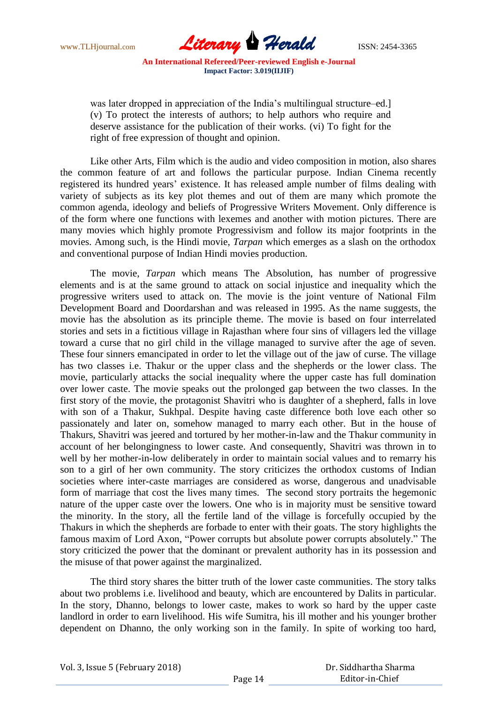

was later dropped in appreciation of the India's multilingual structure–ed. (v) To protect the interests of authors; to help authors who require and deserve assistance for the publication of their works. (vi) To fight for the right of free expression of thought and opinion.

Like other Arts, Film which is the audio and video composition in motion, also shares the common feature of art and follows the particular purpose. Indian Cinema recently registered its hundred years" existence. It has released ample number of films dealing with variety of subjects as its key plot themes and out of them are many which promote the common agenda, ideology and beliefs of Progressive Writers Movement. Only difference is of the form where one functions with lexemes and another with motion pictures. There are many movies which highly promote Progressivism and follow its major footprints in the movies. Among such, is the Hindi movie, *Tarpan* which emerges as a slash on the orthodox and conventional purpose of Indian Hindi movies production.

The movie, *Tarpan* which means The Absolution, has number of progressive elements and is at the same ground to attack on social injustice and inequality which the progressive writers used to attack on. The movie is the joint venture of National Film Development Board and Doordarshan and was released in 1995. As the name suggests, the movie has the absolution as its principle theme. The movie is based on four interrelated stories and sets in a fictitious village in Rajasthan where four sins of villagers led the village toward a curse that no girl child in the village managed to survive after the age of seven. These four sinners emancipated in order to let the village out of the jaw of curse. The village has two classes i.e. Thakur or the upper class and the shepherds or the lower class. The movie, particularly attacks the social inequality where the upper caste has full domination over lower caste. The movie speaks out the prolonged gap between the two classes. In the first story of the movie, the protagonist Shavitri who is daughter of a shepherd, falls in love with son of a Thakur, Sukhpal. Despite having caste difference both love each other so passionately and later on, somehow managed to marry each other. But in the house of Thakurs, Shavitri was jeered and tortured by her mother-in-law and the Thakur community in account of her belongingness to lower caste. And consequently, Shavitri was thrown in to well by her mother-in-low deliberately in order to maintain social values and to remarry his son to a girl of her own community. The story criticizes the orthodox customs of Indian societies where inter-caste marriages are considered as worse, dangerous and unadvisable form of marriage that cost the lives many times. The second story portraits the hegemonic nature of the upper caste over the lowers. One who is in majority must be sensitive toward the minority. In the story, all the fertile land of the village is forcefully occupied by the Thakurs in which the shepherds are forbade to enter with their goats. The story highlights the famous maxim of Lord Axon, "Power corrupts but absolute power corrupts absolutely." The story criticized the power that the dominant or prevalent authority has in its possession and the misuse of that power against the marginalized.

The third story shares the bitter truth of the lower caste communities. The story talks about two problems i.e. livelihood and beauty, which are encountered by Dalits in particular. In the story, Dhanno, belongs to lower caste, makes to work so hard by the upper caste landlord in order to earn livelihood. His wife Sumitra, his ill mother and his younger brother dependent on Dhanno, the only working son in the family. In spite of working too hard,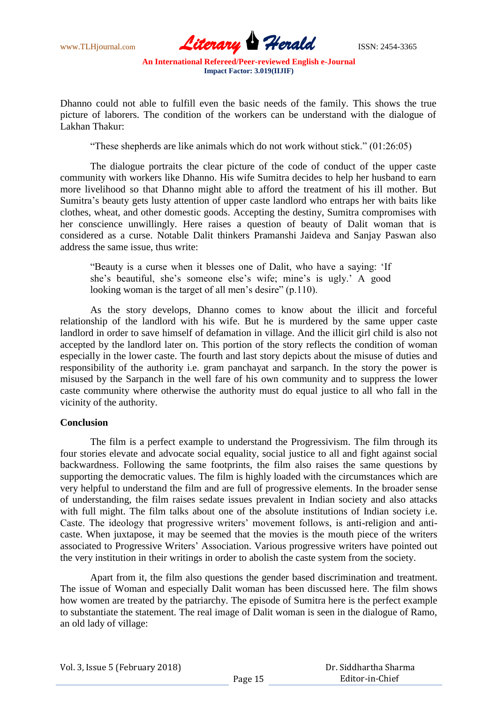

Dhanno could not able to fulfill even the basic needs of the family. This shows the true picture of laborers. The condition of the workers can be understand with the dialogue of Lakhan Thakur:

"These shepherds are like animals which do not work without stick." (01:26:05)

The dialogue portraits the clear picture of the code of conduct of the upper caste community with workers like Dhanno. His wife Sumitra decides to help her husband to earn more livelihood so that Dhanno might able to afford the treatment of his ill mother. But Sumitra"s beauty gets lusty attention of upper caste landlord who entraps her with baits like clothes, wheat, and other domestic goods. Accepting the destiny, Sumitra compromises with her conscience unwillingly. Here raises a question of beauty of Dalit woman that is considered as a curse. Notable Dalit thinkers Pramanshi Jaideva and Sanjay Paswan also address the same issue, thus write:

"Beauty is a curse when it blesses one of Dalit, who have a saying: "If she's beautiful, she's someone else's wife; mine's is ugly.' A good looking woman is the target of all men's desire" (p.110).

As the story develops, Dhanno comes to know about the illicit and forceful relationship of the landlord with his wife. But he is murdered by the same upper caste landlord in order to save himself of defamation in village. And the illicit girl child is also not accepted by the landlord later on. This portion of the story reflects the condition of woman especially in the lower caste. The fourth and last story depicts about the misuse of duties and responsibility of the authority i.e. gram panchayat and sarpanch. In the story the power is misused by the Sarpanch in the well fare of his own community and to suppress the lower caste community where otherwise the authority must do equal justice to all who fall in the vicinity of the authority.

## **Conclusion**

The film is a perfect example to understand the Progressivism. The film through its four stories elevate and advocate social equality, social justice to all and fight against social backwardness. Following the same footprints, the film also raises the same questions by supporting the democratic values. The film is highly loaded with the circumstances which are very helpful to understand the film and are full of progressive elements. In the broader sense of understanding, the film raises sedate issues prevalent in Indian society and also attacks with full might. The film talks about one of the absolute institutions of Indian society i.e. Caste. The ideology that progressive writers" movement follows, is anti-religion and anticaste. When juxtapose, it may be seemed that the movies is the mouth piece of the writers associated to Progressive Writers" Association. Various progressive writers have pointed out the very institution in their writings in order to abolish the caste system from the society.

Apart from it, the film also questions the gender based discrimination and treatment. The issue of Woman and especially Dalit woman has been discussed here. The film shows how women are treated by the patriarchy. The episode of Sumitra here is the perfect example to substantiate the statement. The real image of Dalit woman is seen in the dialogue of Ramo, an old lady of village: